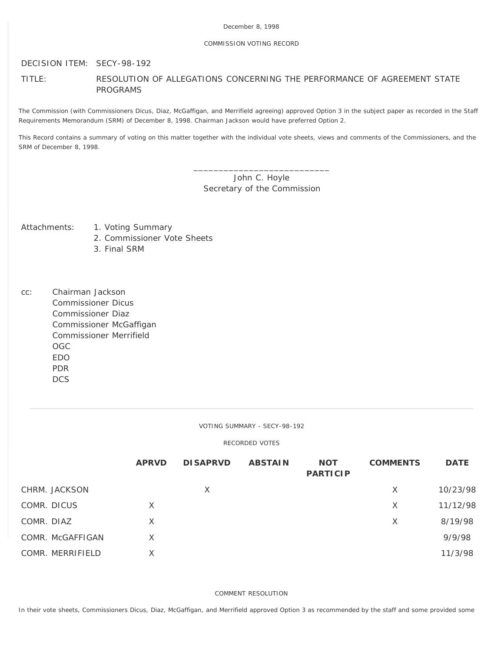### December 8, 1998

### COMMISSION VOTING RECORD

## DECISION ITEM: SECY-98-192

# TITLE: RESOLUTION OF ALLEGATIONS CONCERNING THE PERFORMANCE OF AGREEMENT STATE PROGRAMS

The Commission (with Commissioners Dicus, Diaz, McGaffigan, and Merrifield agreeing) approved Option 3 in the subject paper as recorded in the Staff Requirements Memorandum (SRM) of December 8, 1998. Chairman Jackson would have preferred Option 2.

This Record contains a summary of voting on this matter together with the individual vote sheets, views and comments of the Commissioners, and the SRM of December 8, 1998.

> \_\_\_\_\_\_\_\_\_\_\_\_\_\_\_\_\_\_\_\_\_\_\_\_\_\_\_ John C. Hoyle Secretary of the Commission

- Attachments: 1. Voting Summary
	- 2. Commissioner Vote Sheets
	- 3. Final SRM
- cc: Chairman Jackson Commissioner Dicus Commissioner Diaz Commissioner McGaffigan Commissioner Merrifield OGC EDO PDR **DCS**

VOTING SUMMARY - SECY-98-192

### RECORDED VOTES

|                  | <b>APRVD</b> | <b>DISAPRVD</b> | <b>ABSTAIN</b> | <b>NOT</b><br><b>PARTICIP</b> | <b>COMMENTS</b> | <b>DATE</b> |
|------------------|--------------|-----------------|----------------|-------------------------------|-----------------|-------------|
| CHRM. JACKSON    |              | X               |                |                               | X               | 10/23/98    |
| COMR. DICUS      | $\times$     |                 |                |                               | X               | 11/12/98    |
| COMR. DIAZ       | X            |                 |                |                               | X               | 8/19/98     |
| COMR. McGAFFIGAN | X            |                 |                |                               |                 | 9/9/98      |
| COMR. MERRIFIELD | X            |                 |                |                               |                 | 11/3/98     |

COMMENT RESOLUTION